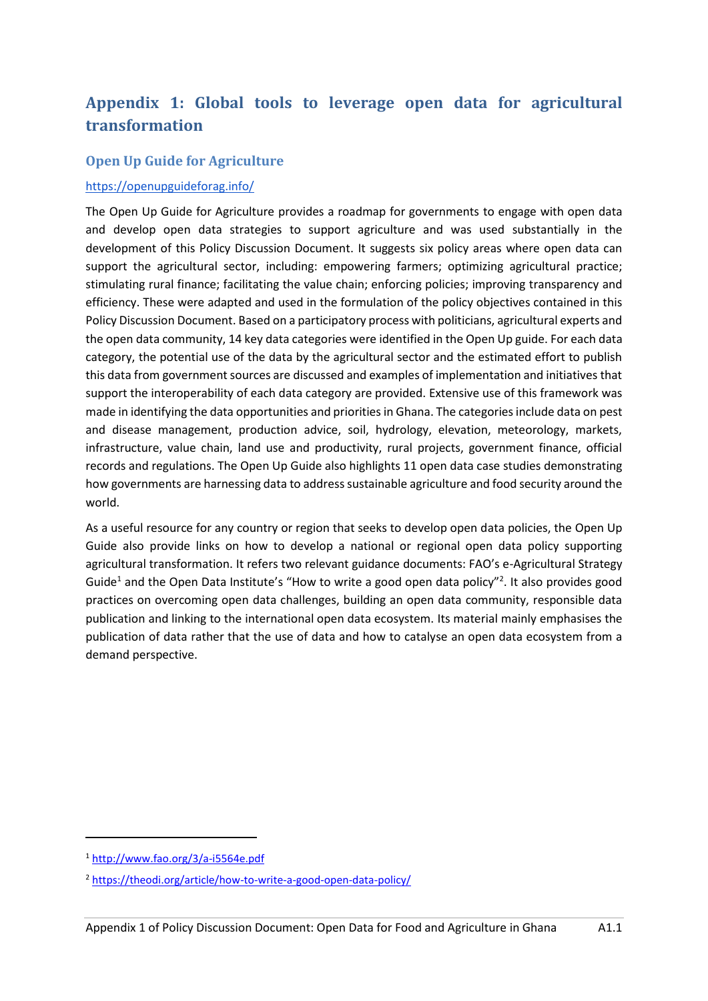# **Appendix 1: Global tools to leverage open data for agricultural transformation**

# **Open Up Guide for Agriculture**

### <https://openupguideforag.info/>

The Open Up Guide for Agriculture provides a roadmap for governments to engage with open data and develop open data strategies to support agriculture and was used substantially in the development of this Policy Discussion Document. It suggests six policy areas where open data can support the agricultural sector, including: empowering farmers; optimizing agricultural practice; stimulating rural finance; facilitating the value chain; enforcing policies; improving transparency and efficiency. These were adapted and used in the formulation of the policy objectives contained in this Policy Discussion Document. Based on a participatory process with politicians, agricultural experts and the open data community, 14 key data categories were identified in the Open Up guide. For each data category, the potential use of the data by the agricultural sector and the estimated effort to publish this data from government sources are discussed and examples of implementation and initiatives that support the interoperability of each data category are provided. Extensive use of this framework was made in identifying the data opportunities and priorities in Ghana. The categories include data on pest and disease management, production advice, soil, hydrology, elevation, meteorology, markets, infrastructure, value chain, land use and productivity, rural projects, government finance, official records and regulations. The Open Up Guide also highlights 11 open data case studies demonstrating how governments are harnessing data to address sustainable agriculture and food security around the world.

As a useful resource for any country or region that seeks to develop open data policies, the Open Up Guide also provide links on how to develop a national or regional open data policy supporting agricultural transformation. It refers two relevant guidance documents: FAO's e-Agricultural Strategy Guide<sup>1</sup> and the Open Data Institute's "How to write a good open data policy"<sup>2</sup>. It also provides good practices on overcoming open data challenges, building an open data community, responsible data publication and linking to the international open data ecosystem. Its material mainly emphasises the publication of data rather that the use of data and how to catalyse an open data ecosystem from a demand perspective.

<sup>1</sup> <http://www.fao.org/3/a-i5564e.pdf>

<sup>2</sup> <https://theodi.org/article/how-to-write-a-good-open-data-policy/>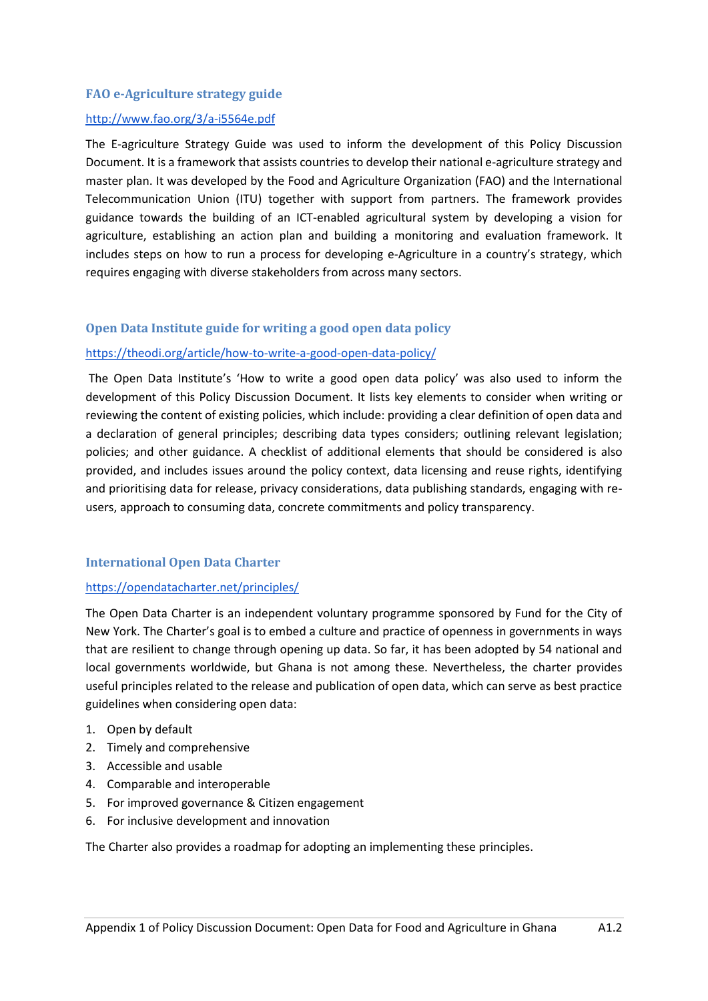### **FAO e-Agriculture strategy guide**

### <http://www.fao.org/3/a-i5564e.pdf>

The E-agriculture Strategy Guide was used to inform the development of this Policy Discussion Document. It is a framework that assists countries to develop their national e-agriculture strategy and master plan. It was developed by the Food and Agriculture Organization (FAO) and the International Telecommunication Union (ITU) together with support from partners. The framework provides guidance towards the building of an ICT-enabled agricultural system by developing a vision for agriculture, establishing an action plan and building a monitoring and evaluation framework. It includes steps on how to run a process for developing e-Agriculture in a country's strategy, which requires engaging with diverse stakeholders from across many sectors.

# **Open Data Institute guide for writing a good open data policy**

### <https://theodi.org/article/how-to-write-a-good-open-data-policy/>

The Open Data Institute's 'How to write a good open data policy' was also used to inform the development of this Policy Discussion Document. It lists key elements to consider when writing or reviewing the content of existing policies, which include: providing a clear definition of open data and a declaration of general principles; describing data types considers; outlining relevant legislation; policies; and other guidance. A checklist of additional elements that should be considered is also provided, and includes issues around the policy context, data licensing and reuse rights, identifying and prioritising data for release, privacy considerations, data publishing standards, engaging with reusers, approach to consuming data, concrete commitments and policy transparency.

#### **International Open Data Charter**

#### <https://opendatacharter.net/principles/>

The Open Data Charter is an independent voluntary programme sponsored by Fund for the City of New York. The Charter's goal is to embed a culture and practice of openness in governments in ways that are resilient to change through opening up data. So far, it has been adopted by 54 national and local governments worldwide, but Ghana is not among these. Nevertheless, the charter provides useful principles related to the release and publication of open data, which can serve as best practice guidelines when considering open data:

- 1. Open by default
- 2. Timely and comprehensive
- 3. Accessible and usable
- 4. Comparable and interoperable
- 5. For improved governance & Citizen engagement
- 6. For inclusive development and innovation

The Charter also provides a roadmap for adopting an implementing these principles.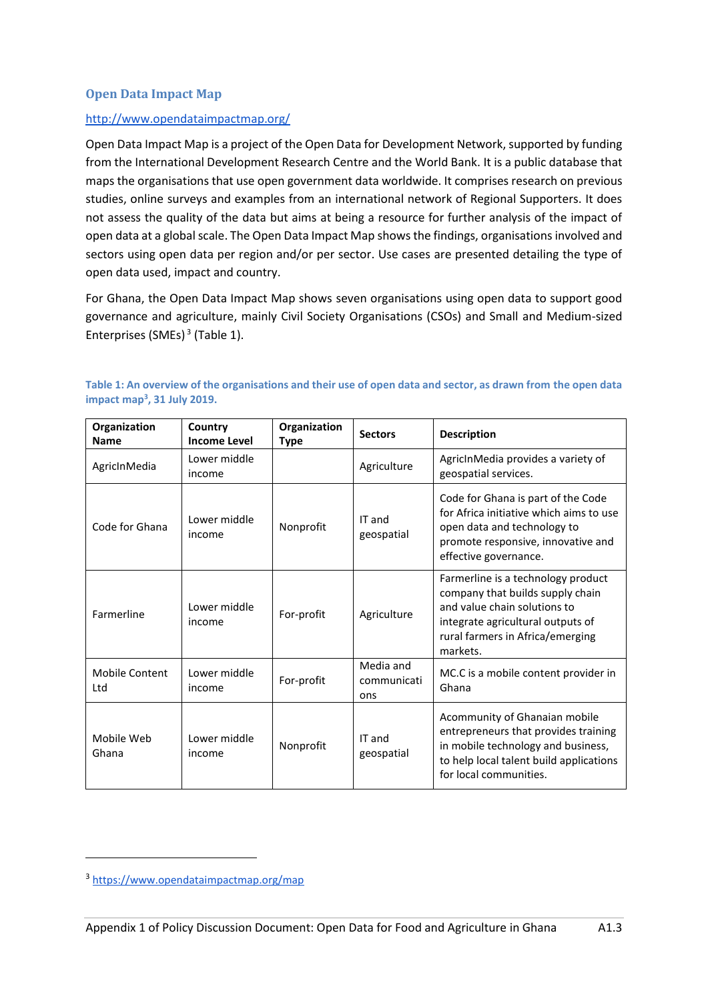### **Open Data Impact Map**

### <http://www.opendataimpactmap.org/>

Open Data Impact Map is a project of the Open Data for Development Network, supported by funding from the International Development Research Centre and the World Bank. It is a public database that maps the organisations that use open government data worldwide. It comprises research on previous studies, online surveys and examples from an international network of Regional Supporters. It does not assess the quality of the data but aims at being a resource for further analysis of the impact of open data at a global scale. The Open Data Impact Map shows the findings, organisations involved and sectors using open data per region and/or per sector. Use cases are presented detailing the type of open data used, impact and country.

<span id="page-2-1"></span>For Ghana, the Open Data Impact Map shows seven organisations using open data to support good governance and agriculture, mainly Civil Society Organisations (CSOs) and Small and Medium-sized Enterprises (SMEs) 3 [\(Table 1\)](#page-2-0).

| Organization<br><b>Name</b> | Country<br><b>Income Level</b> | Organization<br>Type | <b>Sectors</b>                  | <b>Description</b>                                                                                                                                                                          |
|-----------------------------|--------------------------------|----------------------|---------------------------------|---------------------------------------------------------------------------------------------------------------------------------------------------------------------------------------------|
| AgricInMedia                | Lower middle<br>income         |                      | Agriculture                     | AgricInMedia provides a variety of<br>geospatial services.                                                                                                                                  |
| Code for Ghana              | Lower middle<br>income         | Nonprofit            | IT and<br>geospatial            | Code for Ghana is part of the Code<br>for Africa initiative which aims to use<br>open data and technology to<br>promote responsive, innovative and<br>effective governance.                 |
| Farmerline                  | Lower middle<br>income         | For-profit           | Agriculture                     | Farmerline is a technology product<br>company that builds supply chain<br>and value chain solutions to<br>integrate agricultural outputs of<br>rural farmers in Africa/emerging<br>markets. |
| Mobile Content<br>Ltd       | Lower middle<br>income         | For-profit           | Media and<br>communicati<br>ons | MC.C is a mobile content provider in<br>Ghana                                                                                                                                               |
| Mobile Web<br>Ghana         | Lower middle<br>income         | Nonprofit            | IT and<br>geospatial            | Acommunity of Ghanaian mobile<br>entrepreneurs that provides training<br>in mobile technology and business,<br>to help local talent build applications<br>for local communities.            |

<span id="page-2-0"></span>**Table 1: An overview of the organisations and their use of open data and sector, as drawn from the open data impact map<sup>3</sup> [,](#page-2-1) 31 July 2019.**

<sup>3</sup> <https://www.opendataimpactmap.org/map>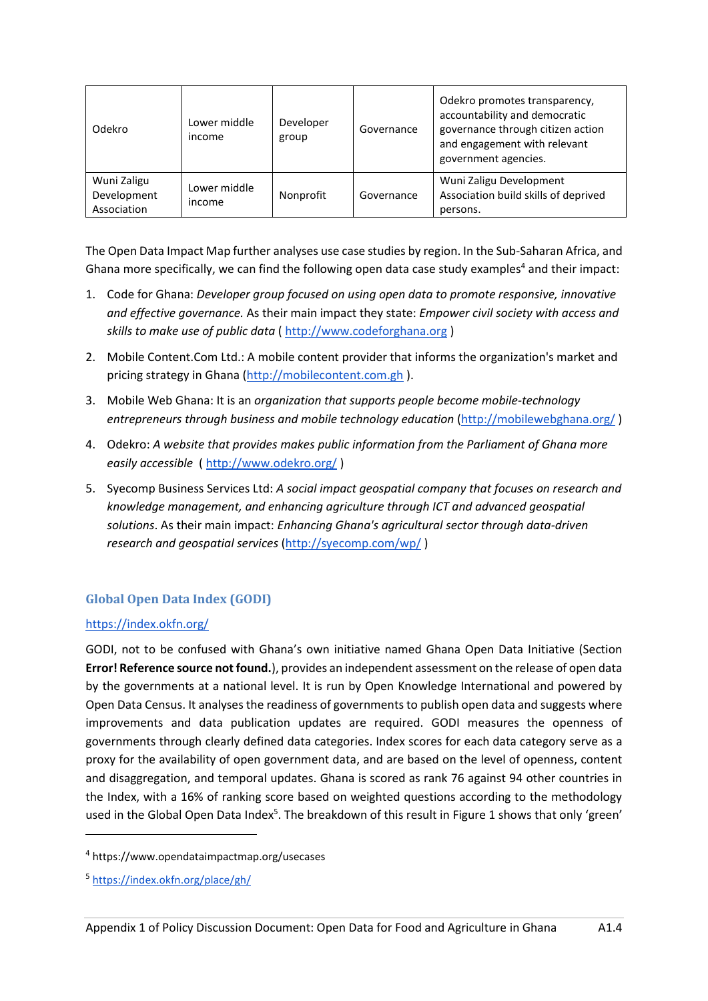| Odekro                                    | Lower middle<br>income | Developer<br>group | Governance | Odekro promotes transparency,<br>accountability and democratic<br>governance through citizen action<br>and engagement with relevant<br>government agencies. |
|-------------------------------------------|------------------------|--------------------|------------|-------------------------------------------------------------------------------------------------------------------------------------------------------------|
| Wuni Zaligu<br>Development<br>Association | Lower middle<br>income | Nonprofit          | Governance | Wuni Zaligu Development<br>Association build skills of deprived<br>persons.                                                                                 |

The Open Data Impact Map further analyses use case studies by region. In the Sub-Saharan Africa, and Ghana more specifically, we can find the following open data case study examples<sup>4</sup> and their impact:

- 1. Code for Ghana: *Developer group focused on using open data to promote responsive, innovative and effective governance.* As their main impact they state: *Empower civil society with access and skills to make use of public data* [\( http://www.codeforghana.org](http://www.codeforghana.org/) )
- 2. Mobile Content.Com Ltd.: A mobile content provider that informs the organization's market and pricing strategy in Ghana [\(http://mobilecontent.com.gh](http://mobilecontent.com.gh/) ).
- 3. Mobile Web Ghana: It is an *organization that supports people become mobile-technology entrepreneurs through business and mobile technology education [\(http://mobilewebghana.org/](http://mobilewebghana.org/))*
- 4. Odekro: *A website that provides makes public information from the Parliament of Ghana more easily accessible* (<http://www.odekro.org/> )
- 5. Syecomp Business Services Ltd: *A social impact geospatial company that focuses on research and knowledge management, and enhancing agriculture through ICT and advanced geospatial solutions*. As their main impact: *Enhancing Ghana's agricultural sector through data-driven research and geospatial services* [\(http://syecomp.com/wp/](http://syecomp.com/wp/) )

# **Global Open Data Index (GODI)**

# <https://index.okfn.org/>

GODI, not to be confused with Ghana's own initiative named Ghana Open Data Initiative (Section **Error! Reference source not found.**), provides an independent assessment on the release of open data by the governments at a national level. It is run by Open Knowledge International and powered by Open Data Census. It analyses the readiness of governments to publish open data and suggests where improvements and data publication updates are required. GODI measures the openness of governments through clearly defined data categories. Index scores for each data category serve as a proxy for the availability of open government data, and are based on the level of openness, content and disaggregation, and temporal updates. Ghana is scored as rank 76 against 94 other countries in the Index, with a 16% of ranking score based on weighted questions according to the methodology used in the Global Open Data Index<sup>5</sup>. The breakdown of this result i[n Figure 1](#page-4-0) shows that only 'green'

<span id="page-3-0"></span><sup>4</sup> <https://www.opendataimpactmap.org/usecases>

<sup>5</sup> <https://index.okfn.org/place/gh/>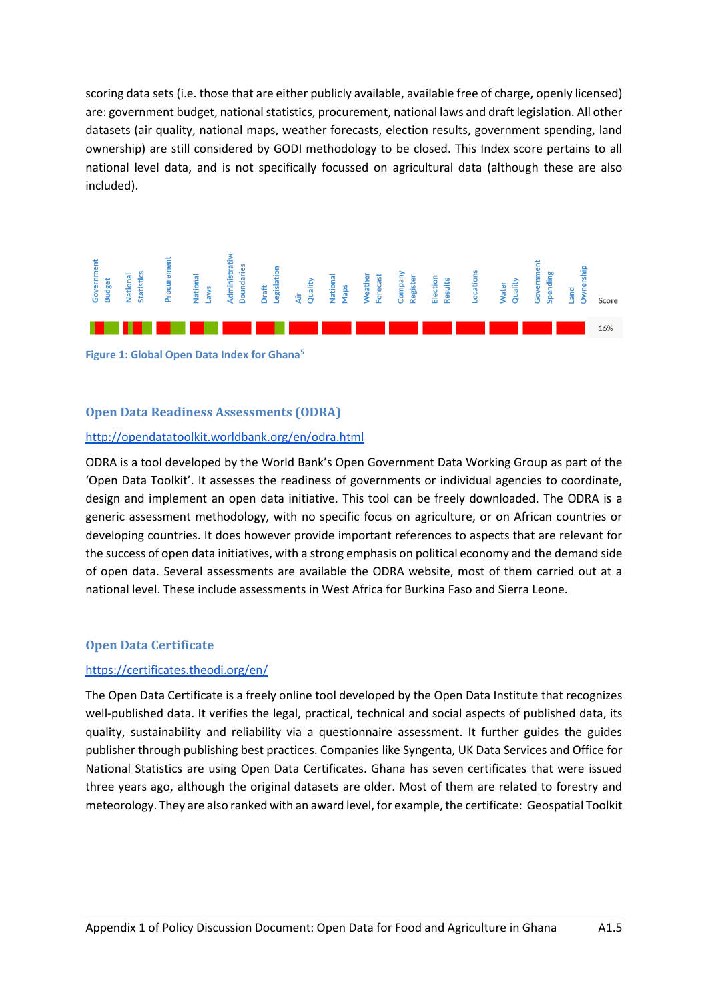scoring data sets (i.e. those that are either publicly available, available free of charge, openly licensed) are: government budget, national statistics, procurement, national laws and draft legislation. All other datasets (air quality, national maps, weather forecasts, election results, government spending, land ownership) are still considered by GODI methodology to be closed. This Index score pertains to all national level data, and is not specifically focussed on agricultural data (although these are also included).



<span id="page-4-0"></span>**Figure 1: Global Open Data Index for Ghan[a](#page-3-0)<sup>5</sup>**

# **Open Data Readiness Assessments (ODRA)**

### <http://opendatatoolkit.worldbank.org/en/odra.html>

ODRA is a tool developed by the World Bank's Open Government Data Working Group as part of the 'Open Data Toolkit'. It assesses the readiness of governments or individual agencies to coordinate, design and implement an open data initiative. This tool can be freely downloaded. The ODRA is a generic assessment methodology, with no specific focus on agriculture, or on African countries or developing countries. It does however provide important references to aspects that are relevant for the success of open data initiatives, with a strong emphasis on political economy and the demand side of open data. Several assessments are available the ODRA website, most of them carried out at a national level. These include assessments in West Africa for Burkina Faso and Sierra Leone.

# **Open Data Certificate**

#### <https://certificates.theodi.org/en/>

The Open Data Certificate is a freely online tool developed by the Open Data Institute that recognizes well-published data. It verifies the legal, practical, technical and social aspects of published data, its quality, sustainability and reliability via a questionnaire assessment. It further guides the guides publisher through publishing best practices. Companies like Syngenta, UK Data Services and Office for National Statistics are using Open Data Certificates. Ghana has seven certificates that were issued three years ago, although the original datasets are older. Most of them are related to forestry and meteorology. They are also ranked with an award level, for example, the certificate: Geospatial Toolkit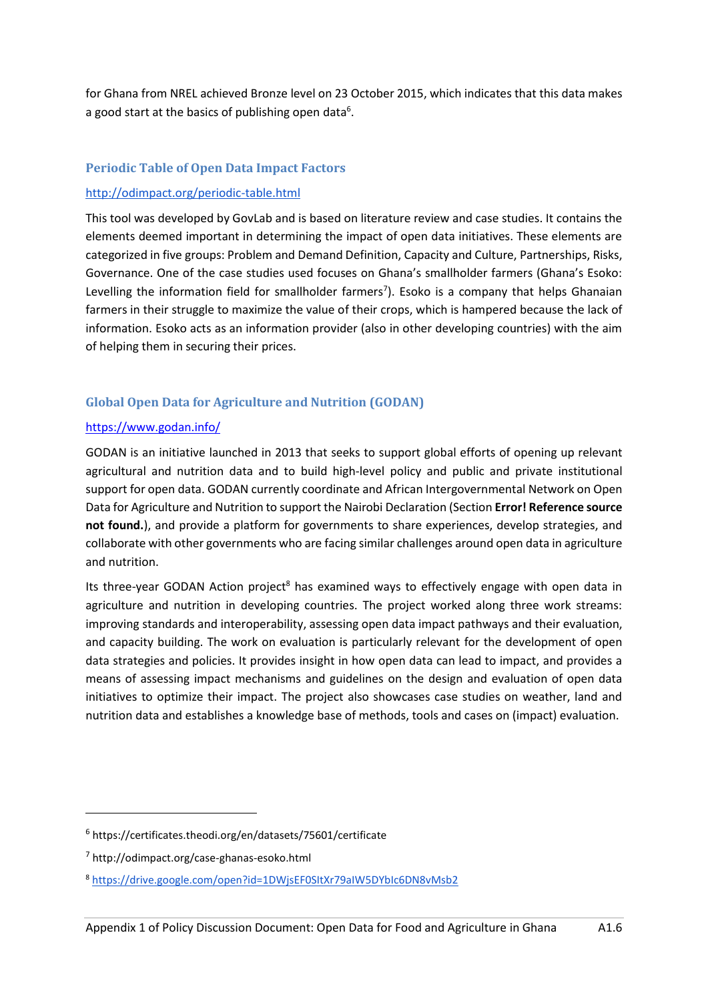for Ghana from NREL achieved Bronze level on 23 October 2015, which indicates that this data makes a good start at the basics of publishing open data<sup>6</sup>.

# **Periodic Table of Open Data Impact Factors**

### <http://odimpact.org/periodic-table.html>

This tool was developed by GovLab and is based on literature review and case studies. It contains the elements deemed important in determining the impact of open data initiatives. These elements are categorized in five groups: Problem and Demand Definition, Capacity and Culture, Partnerships, Risks, Governance. One of the case studies used focuses on Ghana's smallholder farmers (Ghana's Esoko: Levelling the information field for smallholder farmers<sup>7</sup>). Esoko is a company that helps Ghanaian farmers in their struggle to maximize the value of their crops, which is hampered because the lack of information. Esoko acts as an information provider (also in other developing countries) with the aim of helping them in securing their prices.

# **Global Open Data for Agriculture and Nutrition (GODAN)**

### <https://www.godan.info/>

GODAN is an initiative launched in 2013 that seeks to support global efforts of opening up relevant agricultural and nutrition data and to build high-level policy and public and private institutional support for open data. GODAN currently coordinate and African Intergovernmental Network on Open Data for Agriculture and Nutrition to support the Nairobi Declaration (Section **Error! Reference source not found.**), and provide a platform for governments to share experiences, develop strategies, and collaborate with other governments who are facing similar challenges around open data in agriculture and nutrition.

Its three-year GODAN Action project<sup>8</sup> has examined ways to effectively engage with open data in agriculture and nutrition in developing countries. The project worked along three work streams: improving standards and interoperability, assessing open data impact pathways and their evaluation, and capacity building. The work on evaluation is particularly relevant for the development of open data strategies and policies. It provides insight in how open data can lead to impact, and provides a means of assessing impact mechanisms and guidelines on the design and evaluation of open data initiatives to optimize their impact. The project also showcases case studies on weather, land and nutrition data and establishes a knowledge base of methods, tools and cases on (impact) evaluation.

<sup>6</sup> <https://certificates.theodi.org/en/datasets/75601/certificate>

<sup>7</sup> <http://odimpact.org/case-ghanas-esoko.html>

<sup>8</sup> <https://drive.google.com/open?id=1DWjsEF0SItXr79aIW5DYbIc6DN8vMsb2>